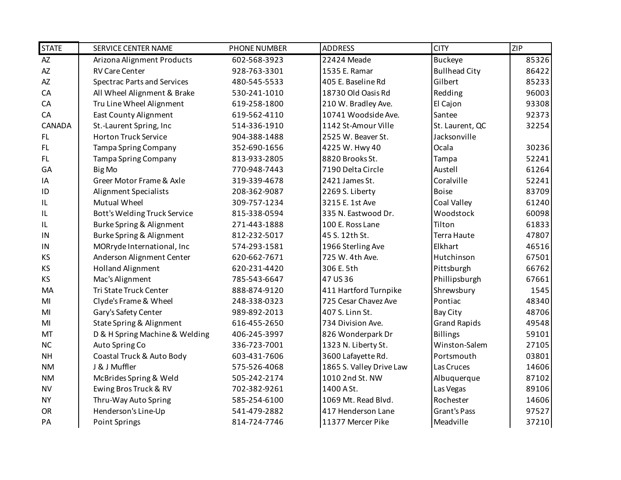| <b>STATE</b> | SERVICE CENTER NAME                | <b>PHONE NUMBER</b> | <b>ADDRESS</b>           | <b>CITY</b>          | <b>ZIP</b> |
|--------------|------------------------------------|---------------------|--------------------------|----------------------|------------|
| AZ           | Arizona Alignment Products         | 602-568-3923        | 22424 Meade              | <b>Buckeye</b>       | 85326      |
| <b>AZ</b>    | <b>RV Care Center</b>              | 928-763-3301        | 1535 E. Ramar            | <b>Bullhead City</b> | 86422      |
| <b>AZ</b>    | <b>Spectrac Parts and Services</b> | 480-545-5533        | 405 E. Baseline Rd       | Gilbert              | 85233      |
| CA           | All Wheel Alignment & Brake        | 530-241-1010        | 18730 Old Oasis Rd       | Redding              | 96003      |
| CA           | Tru Line Wheel Alignment           | 619-258-1800        | 210 W. Bradley Ave.      | El Cajon             | 93308      |
| CA           | East County Alignment              | 619-562-4110        | 10741 Woodside Ave.      | Santee               | 92373      |
| CANADA       | St.-Laurent Spring, Inc            | 514-336-1910        | 1142 St-Amour Ville      | St. Laurent, QC      | 32254      |
| <b>FL</b>    | <b>Horton Truck Service</b>        | 904-388-1488        | 2525 W. Beaver St.       | Jacksonville         |            |
| <b>FL</b>    | <b>Tampa Spring Company</b>        | 352-690-1656        | 4225 W. Hwy 40           | Ocala                | 30236      |
| FL.          | Tampa Spring Company               | 813-933-2805        | 8820 Brooks St.          | Tampa                | 52241      |
| GA           | Big Mo                             | 770-948-7443        | 7190 Delta Circle        | Austell              | 61264      |
| IA           | Greer Motor Frame & Axle           | 319-339-4678        | 2421 James St.           | Coralville           | 52241      |
| ID           | <b>Alignment Specialists</b>       | 208-362-9087        | 2269 S. Liberty          | <b>Boise</b>         | 83709      |
| IL           | <b>Mutual Wheel</b>                | 309-757-1234        | 3215 E. 1st Ave          | Coal Valley          | 61240      |
| IL           | Bott's Welding Truck Service       | 815-338-0594        | 335 N. Eastwood Dr.      | Woodstock            | 60098      |
| IL           | Burke Spring & Alignment           | 271-443-1888        | 100 E. Ross Lane         | Tilton               | 61833      |
| IN           | Burke Spring & Alignment           | 812-232-5017        | 45 S. 12th St.           | Terra Haute          | 47807      |
| IN           | MORryde International, Inc         | 574-293-1581        | 1966 Sterling Ave        | Elkhart              | 46516      |
| KS           | Anderson Alignment Center          | 620-662-7671        | 725 W. 4th Ave.          | Hutchinson           | 67501      |
| KS           | <b>Holland Alignment</b>           | 620-231-4420        | 306 E. 5th               | Pittsburgh           | 66762      |
| KS           | Mac's Alignment                    | 785-543-6647        | 47 US 36                 | Phillipsburgh        | 67661      |
| MA           | Tri State Truck Center             | 888-874-9120        | 411 Hartford Turnpike    | Shrewsbury           | 1545       |
| MI           | Clyde's Frame & Wheel              | 248-338-0323        | 725 Cesar Chavez Ave     | Pontiac              | 48340      |
| MI           | Gary's Safety Center               | 989-892-2013        | 407 S. Linn St.          | <b>Bay City</b>      | 48706      |
| MI           | State Spring & Alignment           | 616-455-2650        | 734 Division Ave.        | <b>Grand Rapids</b>  | 49548      |
| MT           | D & H Spring Machine & Welding     | 406-245-3997        | 826 Wonderpark Dr        | <b>Billings</b>      | 59101      |
| <b>NC</b>    | Auto Spring Co                     | 336-723-7001        | 1323 N. Liberty St.      | Winston-Salem        | 27105      |
| <b>NH</b>    | Coastal Truck & Auto Body          | 603-431-7606        | 3600 Lafayette Rd.       | Portsmouth           | 03801      |
| <b>NM</b>    | J & J Muffler                      | 575-526-4068        | 1865 S. Valley Drive Law | Las Cruces           | 14606      |
| <b>NM</b>    | McBrides Spring & Weld             | 505-242-2174        | 1010 2nd St. NW          | Albuquerque          | 87102      |
| <b>NV</b>    | Ewing Bros Truck & RV              | 702-382-9261        | 1400 A St.               | Las Vegas            | 89106      |
| <b>NY</b>    | Thru-Way Auto Spring               | 585-254-6100        | 1069 Mt. Read Blvd.      | Rochester            | 14606      |
| <b>OR</b>    | Henderson's Line-Up                | 541-479-2882        | 417 Henderson Lane       | <b>Grant's Pass</b>  | 97527      |
| PA           | <b>Point Springs</b>               | 814-724-7746        | 11377 Mercer Pike        | Meadville            | 37210      |